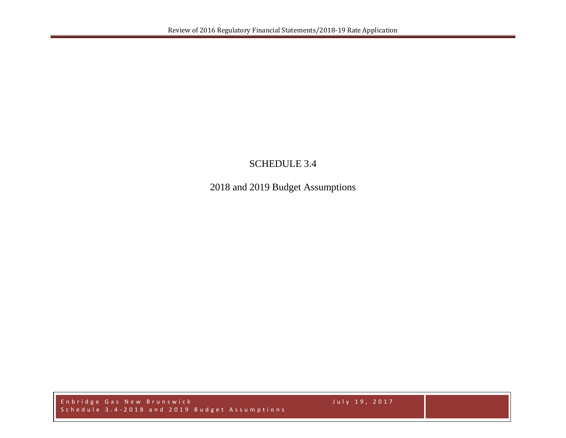## SCHEDULE 3.4

2018 and 2019 Budget Assumptions

Enbridge Gas New Brunswick July 19, 2017 Schedule 3.4 - 201 8 and 2 0 1 9 Budget Assumptions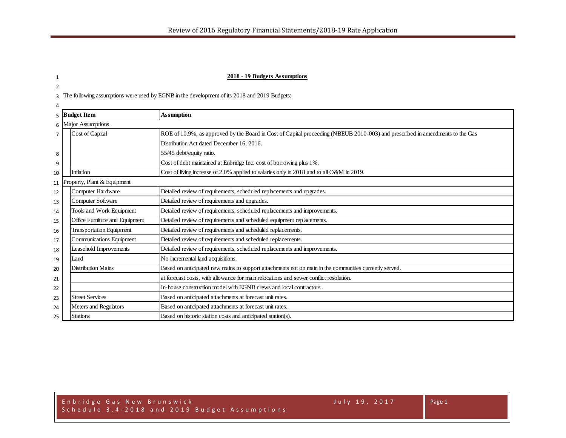## 1 **2018 - 19 Budgets Assumptions**

3 The following assumptions were used by EGNB in the development of its 2018 and 2019 Budgets:

2

| 4  |                     |                                 |                                                                                                                               |  |  |  |  |  |  |  |  |  |  |
|----|---------------------|---------------------------------|-------------------------------------------------------------------------------------------------------------------------------|--|--|--|--|--|--|--|--|--|--|
|    |                     | 5 Budget Item                   | <b>Assumption</b>                                                                                                             |  |  |  |  |  |  |  |  |  |  |
|    | 6 Major Assumptions |                                 |                                                                                                                               |  |  |  |  |  |  |  |  |  |  |
|    |                     | Cost of Capital                 | ROE of 10.9%, as approved by the Board in Cost of Capital proceeding (NBEUB 2010-003) and prescribed in amendments to the Gas |  |  |  |  |  |  |  |  |  |  |
|    |                     |                                 | Distribution Act dated December 16, 2016.                                                                                     |  |  |  |  |  |  |  |  |  |  |
| 8  |                     |                                 | 55/45 debt/equity ratio.                                                                                                      |  |  |  |  |  |  |  |  |  |  |
| 9  |                     |                                 | Cost of debt maintained at Enbridge Inc. cost of borrowing plus 1%.                                                           |  |  |  |  |  |  |  |  |  |  |
| 10 |                     | Inflation                       | Cost of living increase of 2.0% applied to salaries only in 2018 and to all O&M in 2019.                                      |  |  |  |  |  |  |  |  |  |  |
|    |                     | 11 Property, Plant & Equipment  |                                                                                                                               |  |  |  |  |  |  |  |  |  |  |
| 12 |                     | Computer Hardware               | Detailed review of requirements, scheduled replacements and upgrades.                                                         |  |  |  |  |  |  |  |  |  |  |
| 13 |                     | <b>Computer Software</b>        | Detailed review of requirements and upgrades.                                                                                 |  |  |  |  |  |  |  |  |  |  |
| 14 |                     | Tools and Work Equipment        | Detailed review of requirements, scheduled replacements and improvements.                                                     |  |  |  |  |  |  |  |  |  |  |
| 15 |                     | Office Furniture and Equipment  | Detailed review of requirements and scheduled equipment replacements.                                                         |  |  |  |  |  |  |  |  |  |  |
| 16 |                     | <b>Transportation Equipment</b> | Detailed review of requirements and scheduled replacements.                                                                   |  |  |  |  |  |  |  |  |  |  |
| 17 |                     | Communications Equipment        | Detailed review of requirements and scheduled replacements.                                                                   |  |  |  |  |  |  |  |  |  |  |
| 18 |                     | Leasehold Improvements          | Detailed review of requirements, scheduled replacements and improvements.                                                     |  |  |  |  |  |  |  |  |  |  |
| 19 |                     | Land                            | No incremental land acquisitions.                                                                                             |  |  |  |  |  |  |  |  |  |  |
| 20 |                     | <b>Distribution Mains</b>       | Based on anticipated new mains to support attachments not on main in the communities currently served.                        |  |  |  |  |  |  |  |  |  |  |
| 21 |                     |                                 | at forecast costs, with allowance for main relocations and sewer conflict resolution.                                         |  |  |  |  |  |  |  |  |  |  |
| 22 |                     |                                 | In-house construction model with EGNB crews and local contractors.                                                            |  |  |  |  |  |  |  |  |  |  |
| 23 |                     | <b>Street Services</b>          | Based on anticipated attachments at forecast unit rates.                                                                      |  |  |  |  |  |  |  |  |  |  |
| 24 |                     | Meters and Regulators           | Based on anticipated attachments at forecast unit rates.                                                                      |  |  |  |  |  |  |  |  |  |  |
| 25 |                     | <b>Stations</b>                 | Based on historic station costs and anticipated station(s).                                                                   |  |  |  |  |  |  |  |  |  |  |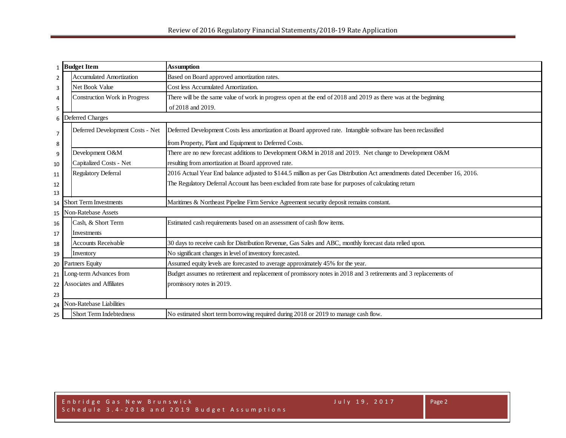|                | 1 Budget Item                    | <b>Assumption</b>                                                                                                        |
|----------------|----------------------------------|--------------------------------------------------------------------------------------------------------------------------|
| 2              | <b>Accumulated Amortization</b>  | Based on Board approved amortization rates.                                                                              |
| 3              | Net Book Value                   | Cost less Accumulated Amortization.                                                                                      |
| 4              | Construction Work in Progress    | There will be the same value of work in progress open at the end of 2018 and 2019 as there was at the beginning          |
| 5              |                                  | of 2018 and 2019.                                                                                                        |
|                | 6 Deferred Charges               |                                                                                                                          |
| $\overline{7}$ | Deferred Development Costs - Net | Deferred Development Costs less amortization at Board approved rate. Intangible software has been reclassified           |
| 8              |                                  | from Property, Plant and Equipment to Deferred Costs.                                                                    |
| 9              | Development O&M                  | There are no new forecast additions to Development O&M in 2018 and 2019. Net change to Development O&M                   |
| 10             | Capitalized Costs - Net          | resulting from amortization at Board approved rate.                                                                      |
| 11             | <b>Regulatory Deferral</b>       | 2016 Actual Year End balance adjusted to \$144.5 million as per Gas Distribution Act amendments dated December 16, 2016. |
| 12             |                                  | The Regulatory Deferral Account has been excluded from rate base for purposes of calculating return                      |
| 13             |                                  |                                                                                                                          |
| 14             | <b>Short Term Investments</b>    | Maritimes & Northeast Pipeline Firm Service Agreement security deposit remains constant.                                 |
| 15             | <b>Non-Ratebase Assets</b>       |                                                                                                                          |
| 16             | Cash, & Short Term               | Estimated cash requirements based on an assessment of cash flow items.                                                   |
| 17             | Investments                      |                                                                                                                          |
| 18             | <b>Accounts Receivable</b>       | 30 days to receive cash for Distribution Revenue, Gas Sales and ABC, monthly forecast data relied upon.                  |
| 19             | Inventory                        | No significant changes in level of inventory forecasted.                                                                 |
| 20             | <b>Partners Equity</b>           | Assumed equity levels are forecasted to average approximately 45% for the year.                                          |
| 21             | ong-term Advances from           | Budget assumes no retirement and replacement of promissory notes in 2018 and 3 retirements and 3 replacements of         |
| 22             | Associates and Affiliates        | promissory notes in 2019.                                                                                                |
| 23             |                                  |                                                                                                                          |
| 24             | <b>Non-Ratebase Liabilities</b>  |                                                                                                                          |
| 25             | Short Term Indebtedness          | No estimated short term borrowing required during 2018 or 2019 to manage cash flow.                                      |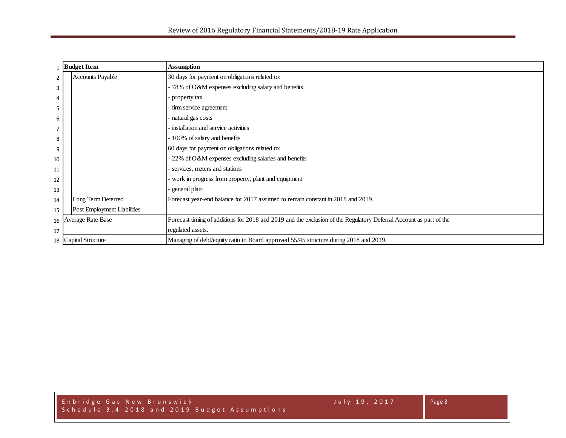|                | <b>Budget Item</b>          | <b>Assumption</b>                                                                                                  |  |  |  |  |  |  |  |  |
|----------------|-----------------------------|--------------------------------------------------------------------------------------------------------------------|--|--|--|--|--|--|--|--|
| $\overline{2}$ | <b>Accounts Payable</b>     | 30 days for payment on obligations related to:                                                                     |  |  |  |  |  |  |  |  |
| 3              |                             | 78% of O&M expenses excluding salary and benefits                                                                  |  |  |  |  |  |  |  |  |
| 4              |                             | property tax                                                                                                       |  |  |  |  |  |  |  |  |
| 5              |                             | firm service agreement                                                                                             |  |  |  |  |  |  |  |  |
| 6              |                             | natural gas costs                                                                                                  |  |  |  |  |  |  |  |  |
| 7              |                             | installation and service activities                                                                                |  |  |  |  |  |  |  |  |
| 8              |                             | 100% of salary and benefits                                                                                        |  |  |  |  |  |  |  |  |
| 9              |                             | 60 days for payment on obligations related to:                                                                     |  |  |  |  |  |  |  |  |
| 10             |                             | 22% of O&M expenses excluding salaries and benefits                                                                |  |  |  |  |  |  |  |  |
| 11             |                             | services, meters and stations                                                                                      |  |  |  |  |  |  |  |  |
| 12             |                             | work in progress from property, plant and equipment                                                                |  |  |  |  |  |  |  |  |
| 13             |                             | general plant                                                                                                      |  |  |  |  |  |  |  |  |
| 14             | Long Term Deferred          | Forecast year-end balance for 2017 assumed to remain constant in 2018 and 2019.                                    |  |  |  |  |  |  |  |  |
| 15             | Post Employment Liabilities |                                                                                                                    |  |  |  |  |  |  |  |  |
|                | 16 Average Rate Base        | Forecast timing of additions for 2018 and 2019 and the exclusion of the Regulatory Deferral Account as part of the |  |  |  |  |  |  |  |  |
| 17             |                             | regulated assets.                                                                                                  |  |  |  |  |  |  |  |  |
| 18             | Capital Structure           | Managing of debt/equity ratio to Board approved 55/45 structure during 2018 and 2019.                              |  |  |  |  |  |  |  |  |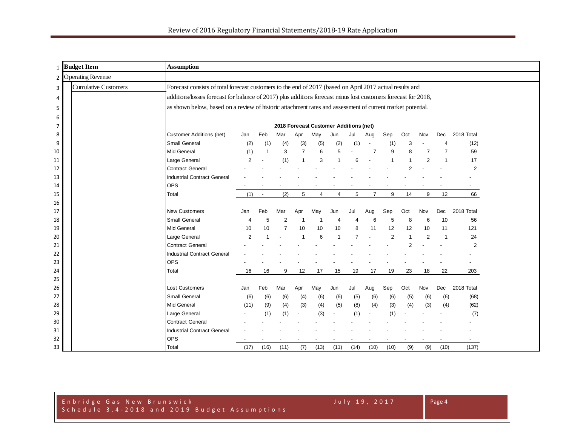|          | 1 Budget Item               | <b>Assumption</b>                                                                                              |                |                          |                |                |                                        |                |                |                |                |                |                |                |                          |  |
|----------|-----------------------------|----------------------------------------------------------------------------------------------------------------|----------------|--------------------------|----------------|----------------|----------------------------------------|----------------|----------------|----------------|----------------|----------------|----------------|----------------|--------------------------|--|
|          | 2 Operating Revenue         |                                                                                                                |                |                          |                |                |                                        |                |                |                |                |                |                |                |                          |  |
| 3        | <b>Cumulative Customers</b> | Forecast consists of total forecast customers to the end of 2017 (based on April 2017 actual results and       |                |                          |                |                |                                        |                |                |                |                |                |                |                |                          |  |
| 4        |                             | additions/losses forecast for balance of 2017) plus additions forecast minus lost customers forecast for 2018, |                |                          |                |                |                                        |                |                |                |                |                |                |                |                          |  |
| 5        |                             | as shown below, based on a review of historic attachment rates and assessment of current market potential.     |                |                          |                |                |                                        |                |                |                |                |                |                |                |                          |  |
| 6        |                             |                                                                                                                |                |                          |                |                |                                        |                |                |                |                |                |                |                |                          |  |
| 7        |                             |                                                                                                                |                |                          |                |                | 2018 Forecast Customer Additions (net) |                |                |                |                |                |                |                |                          |  |
| 8        |                             | <b>Customer Additions (net)</b>                                                                                | Jan            | Feb                      | Mar            | Apr            | May                                    | Jun            | Jul            | Aug            | Sep            | Oct            | Nov            | Dec            | 2018 Total               |  |
| 9        |                             | Small General                                                                                                  | (2)            | (1)                      | (4)            | (3)            | (5)                                    | (2)            | (1)            |                | (1)            | 3              |                |                | (12)                     |  |
| 10       |                             | Mid General                                                                                                    | (1)            | $\overline{1}$           | 3              | $\overline{7}$ | 6                                      | 5              |                | $\overline{7}$ | 9              | 8              | $\overline{7}$ | $\overline{7}$ | 59                       |  |
| 11       |                             | Large General                                                                                                  | $\overline{2}$ |                          | (1)            | $\overline{1}$ | 3                                      |                | 6              |                | $\overline{1}$ |                | $\overline{2}$ | $\overline{1}$ | 17                       |  |
| 12       |                             | <b>Contract General</b>                                                                                        |                |                          |                |                |                                        |                |                |                |                | 2              |                |                | $\overline{2}$           |  |
| 13       |                             | <b>Industrial Contract General</b>                                                                             |                |                          |                |                |                                        |                |                |                |                |                |                |                |                          |  |
| 14       |                             | <b>OPS</b>                                                                                                     |                |                          |                |                |                                        |                |                |                |                |                |                |                |                          |  |
| 15       |                             | Total                                                                                                          | (1)            | $\overline{\phantom{a}}$ | (2)            | 5              | $\overline{4}$                         | $\overline{4}$ | 5              | $\overline{7}$ | 9              | 14             | 9              | 12             | 66                       |  |
| 16       |                             |                                                                                                                |                |                          |                |                |                                        |                |                |                |                |                |                |                |                          |  |
| 17       |                             | New Customers                                                                                                  | Jan            | Feb                      | Mar            | Apr            | May                                    | Jun            | Jul            | Aug            | Sep            | Oct            | Nov            | Dec            | 2018 Total               |  |
| 18       |                             | <b>Small General</b>                                                                                           | 4              | 5                        | $\overline{2}$ | -1             | -1                                     | 4              | 4              | 6              | 5              | 8              | 6              | 10             | 56                       |  |
| 19       |                             | <b>Mid General</b>                                                                                             | 10             | 10                       | $\overline{7}$ | 10             | 10                                     | 10             | 8              | 11             | 12             | 12             | 10             | 11             | 121                      |  |
| 20       |                             | Large General                                                                                                  | $\overline{2}$ |                          |                | $\overline{1}$ | 6                                      | $\overline{1}$ | $\overline{7}$ |                | $\overline{2}$ | $\overline{1}$ | $\overline{2}$ | $\overline{1}$ | 24                       |  |
| 21       |                             | <b>Contract General</b>                                                                                        |                |                          |                |                |                                        |                |                |                |                | $\overline{2}$ |                |                | $\overline{2}$           |  |
| 22       |                             | <b>Industrial Contract General</b>                                                                             |                |                          |                |                |                                        |                |                |                |                |                |                |                |                          |  |
| 23       |                             | <b>OPS</b>                                                                                                     |                |                          |                |                |                                        |                |                |                |                |                |                |                |                          |  |
| 24       |                             | Total                                                                                                          | 16             | 16                       | 9              | 12             | 17                                     | 15             | 19             | 17             | 19             | 23             | 18             | 22             | 203                      |  |
| 25       |                             | <b>Lost Customers</b>                                                                                          |                |                          |                |                |                                        |                |                |                |                |                |                |                |                          |  |
| 26<br>27 |                             | <b>Small General</b>                                                                                           | Jan<br>(6)     | Feb<br>(6)               | Mar<br>(6)     | Apr<br>(4)     | May<br>(6)                             | Jun            | Jul            | Aug<br>(6)     | Sep            | Oct<br>(5)     | Nov            | Dec<br>(6)     | 2018 Total<br>(68)       |  |
| 28       |                             | <b>Mid General</b>                                                                                             | (11)           | (9)                      | (4)            | (3)            | (4)                                    | (6)<br>(5)     | (5)<br>(8)     | (4)            | (6)<br>(3)     | (4)            | (6)<br>(3)     | (4)            | (62)                     |  |
| 29       |                             | Large General                                                                                                  |                | (1)                      | (1)            |                | (3)                                    |                | (1)            |                | (1)            |                |                |                | (7)                      |  |
| 30       |                             | <b>Contract General</b>                                                                                        |                |                          |                |                |                                        |                |                |                |                |                |                |                |                          |  |
| 31       |                             | <b>Industrial Contract General</b>                                                                             |                |                          |                |                |                                        |                |                |                |                |                |                |                |                          |  |
| 32       |                             | <b>OPS</b>                                                                                                     |                |                          |                |                |                                        |                |                |                |                |                |                |                | $\overline{\phantom{a}}$ |  |
| 33       |                             | Total                                                                                                          | (17)           | (16)                     | (11)           | (7)            | (13)                                   | (11)           | (14)           | (10)           | (10)           | (9)            | (9)            | (10)           | (137)                    |  |

## Enbridge Gas New Brunswick July 19, 2017 Schedule 3.4 - 2018 and 2019 Budget Assumptions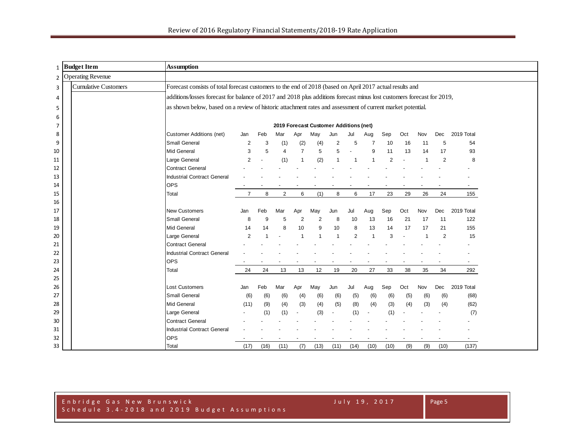| 1        | <b>Budget Item</b>          | <b>Assumption</b>                                                                                                      |                |      |                |                |                                        |                |                |                |                |     |                |                |                          |  |
|----------|-----------------------------|------------------------------------------------------------------------------------------------------------------------|----------------|------|----------------|----------------|----------------------------------------|----------------|----------------|----------------|----------------|-----|----------------|----------------|--------------------------|--|
|          | 2 Operating Revenue         |                                                                                                                        |                |      |                |                |                                        |                |                |                |                |     |                |                |                          |  |
| 3        | <b>Cumulative Customers</b> | Forecast consists of total forecast customers to the end of 2018 (based on April 2017 actual results and               |                |      |                |                |                                        |                |                |                |                |     |                |                |                          |  |
| 4        |                             | additions/losses forecast for balance of 2017 and 2018 plus additions forecast minus lost customers forecast for 2019, |                |      |                |                |                                        |                |                |                |                |     |                |                |                          |  |
| 5        |                             | as shown below, based on a review of historic attachment rates and assessment of current market potential.             |                |      |                |                |                                        |                |                |                |                |     |                |                |                          |  |
| 6        |                             |                                                                                                                        |                |      |                |                |                                        |                |                |                |                |     |                |                |                          |  |
| 7        |                             |                                                                                                                        |                |      |                |                | 2019 Forecast Customer Additions (net) |                |                |                |                |     |                |                |                          |  |
| 8        |                             | <b>Customer Additions (net)</b>                                                                                        | Jan            | Feb  | Mar            | Apr            | May                                    | Jun            | Jul            | Aug            | Sep            | Oct | Nov            | Dec            | 2019 Total               |  |
| 9        |                             | Small General                                                                                                          | 2              | 3    | (1)            | (2)            | (4)                                    | 2              | 5              | $\overline{7}$ | 10             | 16  | 11             | 5              | 54                       |  |
| 10       |                             | <b>Mid General</b>                                                                                                     | 3              | 5    | $\overline{4}$ | $\overline{7}$ | 5                                      | 5              |                | 9              | 11             | 13  | 14             | 17             | 93                       |  |
| 11       |                             | Large General                                                                                                          | $\overline{2}$ |      | (1)            |                | (2)                                    |                | -1             |                | $\overline{2}$ |     |                | $\overline{2}$ | 8                        |  |
| 12       |                             | <b>Contract General</b>                                                                                                |                |      |                |                |                                        |                |                |                |                |     |                |                |                          |  |
| 13       |                             | <b>Industrial Contract General</b>                                                                                     |                |      |                |                |                                        |                |                |                |                |     |                |                |                          |  |
| 14       |                             | <b>OPS</b>                                                                                                             |                |      |                |                |                                        |                |                |                |                |     |                |                |                          |  |
| 15       |                             | Total                                                                                                                  | $\overline{7}$ | 8    | 2              | 6              | (1)                                    | 8              | 6              | 17             | 23             | 29  | 26             | 24             | 155                      |  |
| 16       |                             |                                                                                                                        |                |      |                |                |                                        |                |                |                |                |     |                |                |                          |  |
| 17       |                             | <b>New Customers</b>                                                                                                   | Jan            | Feb  | Mar            | Apr            | May                                    | Jun            | Jul            | Aug            | Sep            | Oct | Nov            | Dec            | 2019 Total               |  |
| 18       |                             | Small General                                                                                                          | 8              | 9    | 5              | 2              | $\overline{2}$                         | 8              | 10             | 13             | 16             | 21  | 17             | 11             | 122                      |  |
| 19       |                             | <b>Mid General</b>                                                                                                     | 14             | 14   | 8              | 10             | 9                                      | 10             | 8              | 13             | 14             | 17  | 17             | 21             | 155                      |  |
| 20       |                             | Large General                                                                                                          | $\overline{2}$ |      |                | $\overline{1}$ | $\overline{1}$                         | $\overline{1}$ | $\overline{2}$ | $\overline{1}$ | 3              |     | $\overline{1}$ | 2              | 15                       |  |
| 21       |                             | <b>Contract General</b>                                                                                                |                |      |                |                |                                        |                |                |                |                |     |                |                |                          |  |
| 22       |                             | <b>Industrial Contract General</b>                                                                                     |                |      |                |                |                                        |                |                |                |                |     |                |                |                          |  |
| 23       |                             | <b>OPS</b>                                                                                                             | 24             |      |                |                | 12                                     |                | 20             | 27             |                |     | 35             |                |                          |  |
| 24<br>25 |                             | Total                                                                                                                  |                | 24   | 13             | 13             |                                        | 19             |                |                | 33             | 38  |                | 34             | 292                      |  |
| 26       |                             | <b>Lost Customers</b>                                                                                                  | Jan            | Feb  | Mar            | Apr            | May                                    | Jun            | Jul            | Aug            | Sep            | Oct | Nov            | Dec            | 2019 Total               |  |
| 27       |                             | <b>Small General</b>                                                                                                   | (6)            | (6)  | (6)            | (4)            | (6)                                    | (6)            | (5)            | (6)            | (6)            | (5) | (6)            | (6)            | (68)                     |  |
| 28       |                             | Mid General                                                                                                            | (11)           | (9)  | (4)            | (3)            | (4)                                    | (5)            | (8)            | (4)            | (3)            | (4) | (3)            | (4)            | (62)                     |  |
| 29       |                             | Large General                                                                                                          |                | (1)  | (1)            |                | (3)                                    |                | (1)            |                | (1)            |     |                |                | (7)                      |  |
| 30       |                             | <b>Contract General</b>                                                                                                |                |      |                |                |                                        |                |                |                |                |     |                |                |                          |  |
| 31       |                             | <b>Industrial Contract General</b>                                                                                     |                |      |                |                |                                        |                |                |                |                |     |                |                |                          |  |
| 32       |                             | <b>OPS</b>                                                                                                             |                |      |                |                |                                        |                |                |                |                |     |                |                | $\overline{\phantom{a}}$ |  |
| 33       |                             | Total                                                                                                                  | (17)           | (16) | (11)           | (7)            | (13)                                   | (11)           | (14)           | (10)           | (10)           | (9) | (9)            | (10)           | (137)                    |  |

## Enbridge Gas New Brunswick July 19, 2017 Schedule 3.4 - 2018 and 2019 Budget Assumptions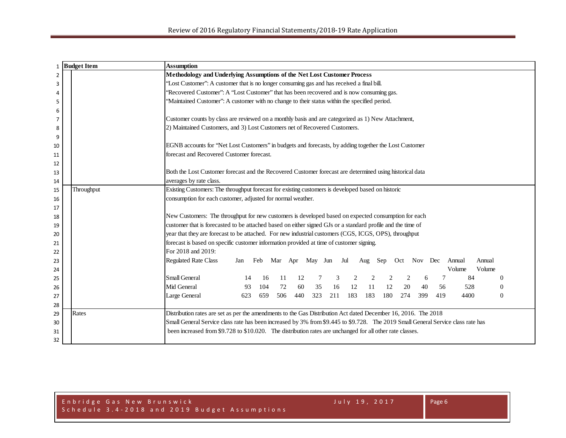| $\mathbf{1}$   | <b>Budget Item</b> | <b>Assumption</b>                                                                                                                |
|----------------|--------------------|----------------------------------------------------------------------------------------------------------------------------------|
| $\overline{2}$ |                    | Methodology and Underlying Assumptions of the Net Lost Customer Process                                                          |
| 3              |                    | "Lost Customer": A customer that is no longer consuming gas and has received a final bill.                                       |
| 4              |                    | 'Recovered Customer'': A "Lost Customer" that has been recovered and is now consuming gas.                                       |
| 5              |                    | "Maintained Customer": A customer with no change to their status within the specified period.                                    |
| 6              |                    |                                                                                                                                  |
| 7              |                    | Customer counts by class are reviewed on a monthly basis and are categorized as 1) New Attachment,                               |
| 8              |                    | 2) Maintained Customers, and 3) Lost Customers net of Recovered Customers.                                                       |
| 9              |                    |                                                                                                                                  |
| 10             |                    | EGNB accounts for 'Net Lost Customers' in budgets and forecasts, by adding together the Lost Customer                            |
| 11             |                    | forecast and Recovered Customer forecast.                                                                                        |
| 12             |                    |                                                                                                                                  |
| 13             |                    | Both the Lost Customer forecast and the Recovered Customer forecast are determined using historical data                         |
| 14             |                    | averages by rate class.                                                                                                          |
| 15             | Throughput         | Existing Customers: The throughput forecast for existing customers is developed based on historic                                |
| 16             |                    | consumption for each customer, adjusted for normal weather.                                                                      |
| 17             |                    |                                                                                                                                  |
| 18             |                    | New Customers: The throughput for new customers is developed based on expected consumption for each                              |
| 19             |                    | customer that is forecasted to be attached based on either signed GJs or a standard profile and the time of                      |
| 20             |                    | year that they are forecast to be attached. For new industrial customers (CGS, ICGS, OPS), throughput                            |
| 21             |                    | forecast is based on specific customer information provided at time of customer signing.                                         |
| 22             |                    | For 2018 and 2019:                                                                                                               |
| 23             |                    | <b>Regulated Rate Class</b><br>Feb Mar Apr May Jun<br>Jul<br>Oct Nov Dec<br>Annual<br>Annual<br>Aug<br>Sep<br>Jan                |
| 24             |                    | Volume<br>Volume                                                                                                                 |
| 25             |                    | Small General<br>3<br>7<br>84<br>16<br>11<br>12<br>2<br>$\theta$<br>14<br>6                                                      |
| 26             |                    | 72<br>Mid General<br>104<br>60<br>35<br>12<br>11<br>12<br>20<br>93<br>16<br>40<br>56<br>528<br>$\mathbf{0}$                      |
| 27             |                    | 183<br>506<br>440<br>323<br>211<br>183<br>180<br>274<br>399<br>419<br>4400<br>Large General<br>623<br>659<br>$\overline{0}$      |
| 28             |                    |                                                                                                                                  |
| 29             | Rates              | Distribution rates are set as per the amendments to the Gas Distribution Act dated December 16, 2016. The 2018                   |
| 30             |                    | Small General Service class rate has been increased by 3% from \$9.445 to \$9.728. The 2019 Small General Service class rate has |
| 31             |                    | been increased from \$9.728 to \$10.020. The distribution rates are unchanged for all other rate classes.                        |
| 32             |                    |                                                                                                                                  |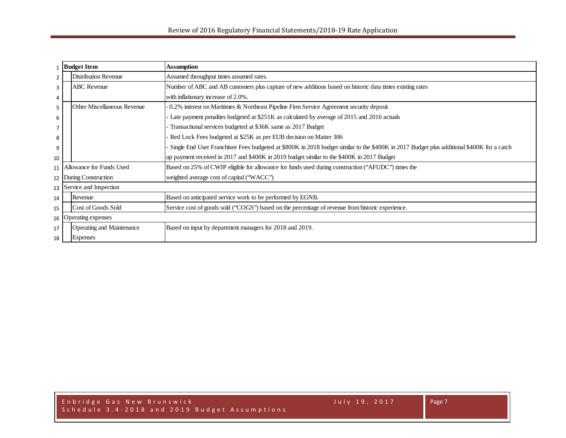|                | <b>Budget Item</b>               | <b>Assumption</b>                                                                                                                         |
|----------------|----------------------------------|-------------------------------------------------------------------------------------------------------------------------------------------|
| $\overline{2}$ | <b>Distribution Revenue</b>      | Assumed throughput times assumed rates.                                                                                                   |
| 3              | <b>ABC</b> Revenue               | Number of ABC and AB customers plus capture of new additions based on historic data times existing rates                                  |
| 4              |                                  | with inflationary increase of 2.0%.                                                                                                       |
| 5.             | Other Miscellaneous Revenue      | 0.2% interest on Maritimes & Northeast Pipeline Firm Service Agreement security deposit                                                   |
| 6              |                                  | Late payment penalties budgeted at \$251K as calculated by average of 2015 and 2016 actuals                                               |
|                |                                  | Transactional services budgeted at \$36K same as 2017 Budget                                                                              |
| 8              |                                  | Red Lock Fees budgeted at \$25K as per EUB decision on Matter 306                                                                         |
| 9              |                                  | Single End User Franchisee Fees budgeted at \$800K in 2018 budget similar to the \$400K in 2017 Budget plus additional \$400K for a catch |
| 10             |                                  | up payment received in 2017 and \$400K in 2019 budget similar to the \$400K in 2017 Budget                                                |
|                | 11 Allowance for Funds Used      | Based on 25% of CWIP eligible for allowance for funds used during construction ("AFUDC") times the                                        |
| 12             | During Construction              | weighted average cost of capital ("WACC")                                                                                                 |
|                | 13 Service and Inspection        |                                                                                                                                           |
| 14             | Revenue                          | Based on anticipated service work to be performed by EGNB.                                                                                |
| 15             | Cost of Goods Sold               | Service cost of goods sold ("COGS") based on the percentage of revenue from historic experience.                                          |
| 16             | <b>Operating expenses</b>        |                                                                                                                                           |
| 17             | <b>Operating and Maintenance</b> | Based on input by department managers for 2018 and 2019.                                                                                  |
| 18             | <b>Expenses</b>                  |                                                                                                                                           |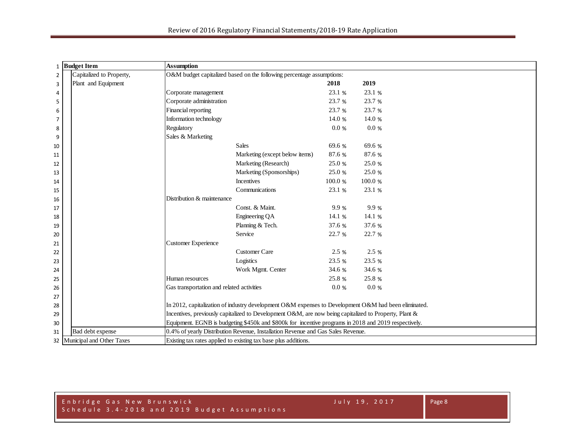| 1              | <b>Budget Item</b>           | <b>Assumption</b>                                                                                     |                                                                                                      |          |         |  |  |  |  |  |  |
|----------------|------------------------------|-------------------------------------------------------------------------------------------------------|------------------------------------------------------------------------------------------------------|----------|---------|--|--|--|--|--|--|
| $\overline{2}$ | Capitalized to Property,     |                                                                                                       | O&M budget capitalized based on the following percentage assumptions:                                |          |         |  |  |  |  |  |  |
| 3              | Plant and Equipment          |                                                                                                       |                                                                                                      | 2018     | 2019    |  |  |  |  |  |  |
| 4              |                              | Corporate management                                                                                  |                                                                                                      | 23.1 %   | 23.1 %  |  |  |  |  |  |  |
| 5              |                              | Corporate administration                                                                              |                                                                                                      | 23.7 %   | 23.7 %  |  |  |  |  |  |  |
| 6              |                              | Financial reporting                                                                                   |                                                                                                      | 23.7 %   | 23.7 %  |  |  |  |  |  |  |
| $\overline{7}$ |                              | Information technology                                                                                |                                                                                                      | 14.0 %   | 14.0 %  |  |  |  |  |  |  |
| 8              |                              | Regulatory                                                                                            |                                                                                                      | $0.0~\%$ | 0.0 %   |  |  |  |  |  |  |
| 9              |                              | Sales & Marketing                                                                                     |                                                                                                      |          |         |  |  |  |  |  |  |
| 10             |                              |                                                                                                       | <b>Sales</b>                                                                                         | 69.6 %   | 69.6 %  |  |  |  |  |  |  |
| 11             |                              |                                                                                                       | Marketing (except below items)                                                                       | 87.6 %   | 87.6 %  |  |  |  |  |  |  |
| 12             |                              |                                                                                                       | Marketing (Research)                                                                                 | 25.0 %   | 25.0 %  |  |  |  |  |  |  |
| 13             |                              |                                                                                                       | Marketing (Sponsorships)                                                                             | 25.0 %   | 25.0 %  |  |  |  |  |  |  |
| 14             |                              |                                                                                                       | <b>Incentives</b>                                                                                    | 100.0%   | 100.0 % |  |  |  |  |  |  |
| 15             |                              |                                                                                                       | Communications                                                                                       | 23.1 %   | 23.1 %  |  |  |  |  |  |  |
| 16             |                              | Distribution & maintenance                                                                            |                                                                                                      |          |         |  |  |  |  |  |  |
| 17             |                              |                                                                                                       | Const. & Maint.                                                                                      | 9.9%     | 9.9%    |  |  |  |  |  |  |
| 18             |                              |                                                                                                       | Engineering QA                                                                                       | 14.1 %   | 14.1 %  |  |  |  |  |  |  |
| 19             |                              |                                                                                                       | Planning & Tech.                                                                                     | 37.6 %   | 37.6 %  |  |  |  |  |  |  |
| 20             |                              |                                                                                                       | Service                                                                                              | 22.7 %   | 22.7 %  |  |  |  |  |  |  |
| 21             |                              | Customer Experience                                                                                   |                                                                                                      |          |         |  |  |  |  |  |  |
| 22             |                              |                                                                                                       | <b>Customer Care</b>                                                                                 | 2.5%     | 2.5 %   |  |  |  |  |  |  |
| 23             |                              |                                                                                                       | Logistics                                                                                            | 23.5 %   | 23.5 %  |  |  |  |  |  |  |
| 24             |                              |                                                                                                       | Work Mgmt. Center                                                                                    | 34.6 %   | 34.6 %  |  |  |  |  |  |  |
| 25             |                              | Human resources                                                                                       |                                                                                                      | 25.8 %   | 25.8 %  |  |  |  |  |  |  |
| 26             |                              | Gas transportation and related activities                                                             |                                                                                                      | $0.0 \%$ | 0.0 %   |  |  |  |  |  |  |
| 27             |                              |                                                                                                       |                                                                                                      |          |         |  |  |  |  |  |  |
| 28             |                              | In 2012, capitalization of industry development O&M expenses to Development O&M had been eliminated.  |                                                                                                      |          |         |  |  |  |  |  |  |
| 29             |                              | Incentives, previously capitalized to Development O&M, are now being capitalized to Property, Plant & |                                                                                                      |          |         |  |  |  |  |  |  |
| 30             |                              |                                                                                                       | Equipment. EGNB is budgeting \$450k and \$800k for incentive programs in 2018 and 2019 respectively. |          |         |  |  |  |  |  |  |
| 31             | Bad debt expense             |                                                                                                       | 0.4% of yearly Distribution Revenue, Installation Revenue and Gas Sales Revenue.                     |          |         |  |  |  |  |  |  |
|                | 32 Municipal and Other Taxes | Existing tax rates applied to existing tax base plus additions.                                       |                                                                                                      |          |         |  |  |  |  |  |  |